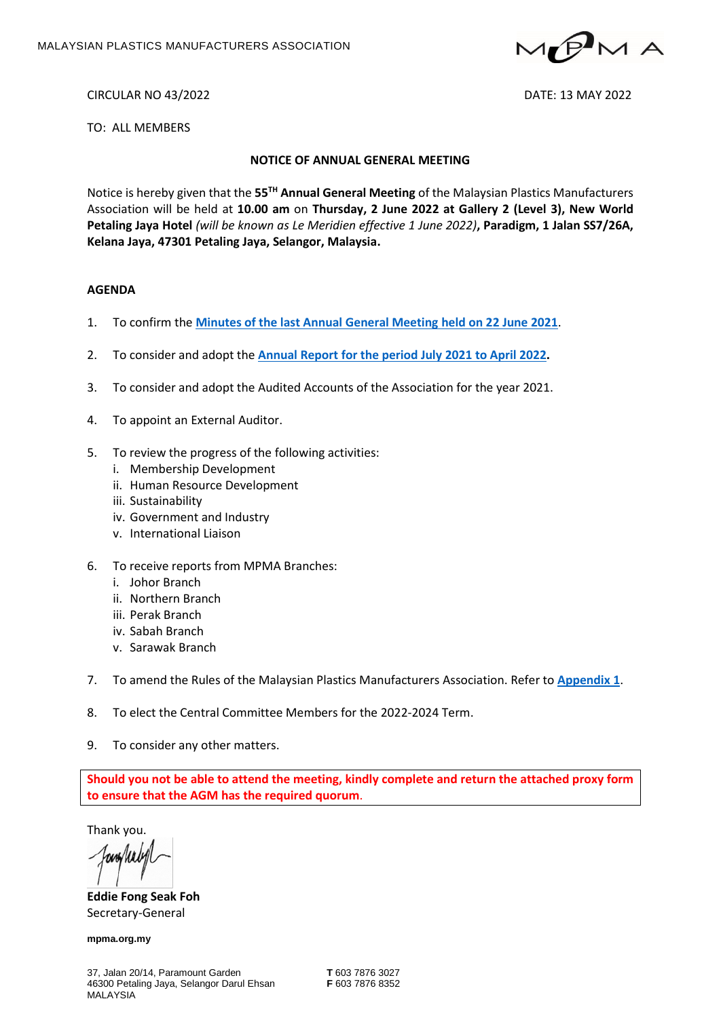

CIRCULAR NO 43/2022 DATE: 13 MAY 2022

TO: ALL MEMBERS

#### **NOTICE OF ANNUAL GENERAL MEETING**

Notice is hereby given that the 55<sup>TH</sup> Annual General Meeting of the Malaysian Plastics Manufacturers Association will be held at **10.00 am** on **Thursday, 2 June 2022 at Gallery 2 (Level 3), New World Petaling Jaya Hotel** *(will be known as Le Meridien effective 1 June 2022)***, Paradigm, 1 Jalan SS7/26A, Kelana Jaya, 47301 Petaling Jaya, Selangor, Malaysia.**

#### **AGENDA**

- 1. To confirm the **[Minutes of the last Annual General Meeting held on 22](http://mpma.org.my/upload/MoM-54th_AGM-20210622_FINAL.pdf) June 2021**.
- 2. To consider and adopt the **[Annual Report for the period July](https://mpma.org.my/upload/Circular2022/MPMA_AR2022_LR_1.pdf) 2021 to April 2022.**
- 3. To consider and adopt the Audited Accounts of the Association for the year 2021.
- 4. To appoint an External Auditor.
- 5. To review the progress of the following activities:
	- i. Membership Development
	- ii. Human Resource Development
	- iii. Sustainability
	- iv. Government and Industry
	- v. International Liaison
- 6. To receive reports from MPMA Branches:
	- i. Johor Branch
	- ii. Northern Branch
	- iii. Perak Branch
	- iv. Sabah Branch
	- v. Sarawak Branch
- 7. To amend the Rules of the Malaysian Plastics Manufacturers Association. Refer to **[Appendix 1](https://mpma.org.my/upload/Circular2022/PROPOSED_AMENDMENTS_TO_RULE_BOOK_APPENDIX_1.pdf)**.
- 8. To elect the Central Committee Members for the 2022-2024 Term.
- 9. To consider any other matters.

**Should you not be able to attend the meeting, kindly complete and return the attached proxy form to ensure that the AGM has the required quorum**.

Thank you.

**Eddie Fong Seak Foh** Secretary-General

**mpma.org.my**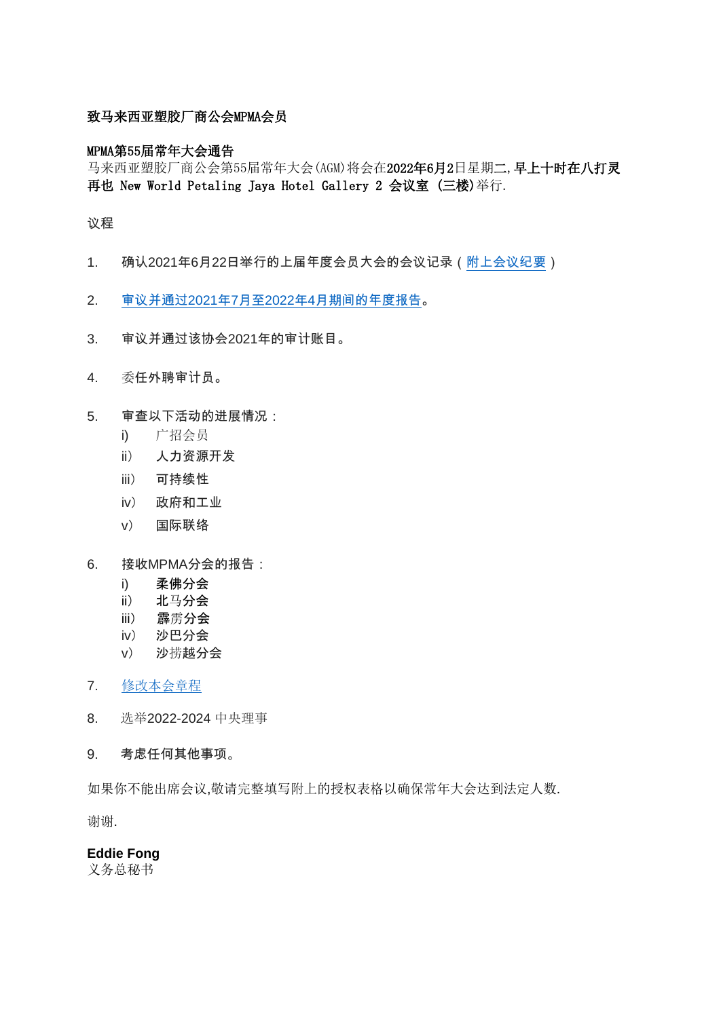## 致马来西亚塑胶厂商公会MPMA会员

### MPMA第55届常年大会通告

马来西亚塑胶厂商公会第55届常年大会(AGM)将会在2022年6月2日星期二,早上十时在八打灵 再也 New World Petaling Jaya Hotel Gallery 2 会议室 (三楼)举行.

#### 议程

- 1. 确认2021年6月22日举行的上届年度会员大会的会议记录[\(附上会议纪要\)](http://mpma.org.my/upload/MoM-54th_AGM-20210622_FINAL.pdf)
- 2. 审议并通过2021年7月至2022年4月期[间的年度报告。](https://mpma.org.my/upload/Circular2022/MPMA_AR2022_LR_1.pdf)
- 3. 审议并通过该协会2021年的审计账目。
- 4. 委任外聘审计员。
- 5. 审查以下活动的进展情况:
	- i) 广招会员
	- ii) 人力资源开发
	- iii) 可持续性
	- iv) 政府和工业
	- v) 国际联络
- 6. 接收MPMA分会的报告:
	- i) 柔佛分会
	- ii) 北马分会
	- iii) 霹雳分会
	- iv) 沙巴分会
	- v) 沙捞越分会
- 7. [修改本会章程](https://mpma.org.my/upload/Circular2022/PROPOSED_AMENDMENTS_TO_RULE_BOOK_APPENDIX_1.pdf)
- 8. 选举2022-2024 中央理事
- 9. 考虑任何其他事项。

如果你不能出席会议,敬请完整填写附上的授权表格以确保常年大会达到法定人数.

谢谢.

## **Eddie Fong**

义务总秘书